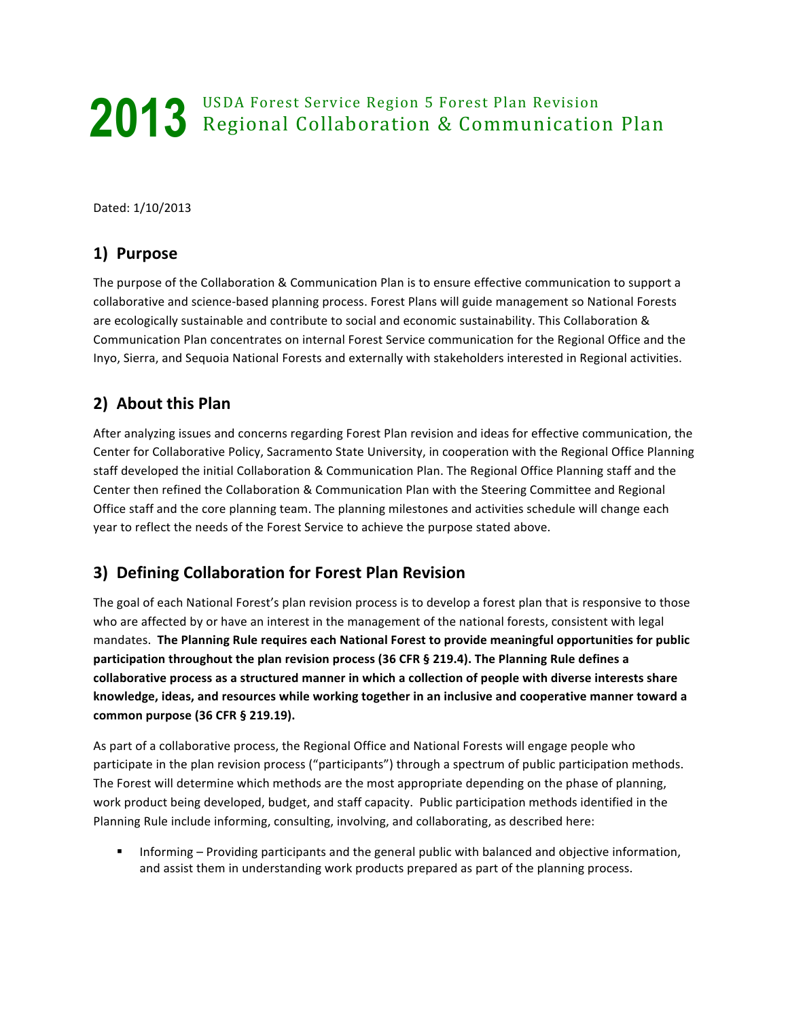# USDA Forest Service Region 5 Forest Plan Revision **Regional Collaboration & Communication Plan 2013**

Dated: 1/10/2013

## **1) Purpose**

The purpose of the Collaboration & Communication Plan is to ensure effective communication to support a collaborative and science-based planning process. Forest Plans will guide management so National Forests are ecologically sustainable and contribute to social and economic sustainability. This Collaboration & Communication Plan concentrates on internal Forest Service communication for the Regional Office and the Inyo, Sierra, and Sequoia National Forests and externally with stakeholders interested in Regional activities.

# **2)** About this Plan

After analyzing issues and concerns regarding Forest Plan revision and ideas for effective communication, the Center for Collaborative Policy, Sacramento State University, in cooperation with the Regional Office Planning staff developed the initial Collaboration & Communication Plan. The Regional Office Planning staff and the Center then refined the Collaboration & Communication Plan with the Steering Committee and Regional Office staff and the core planning team. The planning milestones and activities schedule will change each year to reflect the needs of the Forest Service to achieve the purpose stated above.

# **3) Defining Collaboration for Forest Plan Revision**

The goal of each National Forest's plan revision process is to develop a forest plan that is responsive to those who are affected by or have an interest in the management of the national forests, consistent with legal mandates. The Planning Rule requires each National Forest to provide meaningful opportunities for public participation throughout the plan revision process (36 CFR § 219.4). The Planning Rule defines a collaborative process as a structured manner in which a collection of people with diverse interests share knowledge, ideas, and resources while working together in an inclusive and cooperative manner toward a **common purpose (36 CFR § 219.19).** 

As part of a collaborative process, the Regional Office and National Forests will engage people who participate in the plan revision process ("participants") through a spectrum of public participation methods. The Forest will determine which methods are the most appropriate depending on the phase of planning, work product being developed, budget, and staff capacity. Public participation methods identified in the Planning Rule include informing, consulting, involving, and collaborating, as described here:

**■** Informing – Providing participants and the general public with balanced and objective information, and assist them in understanding work products prepared as part of the planning process.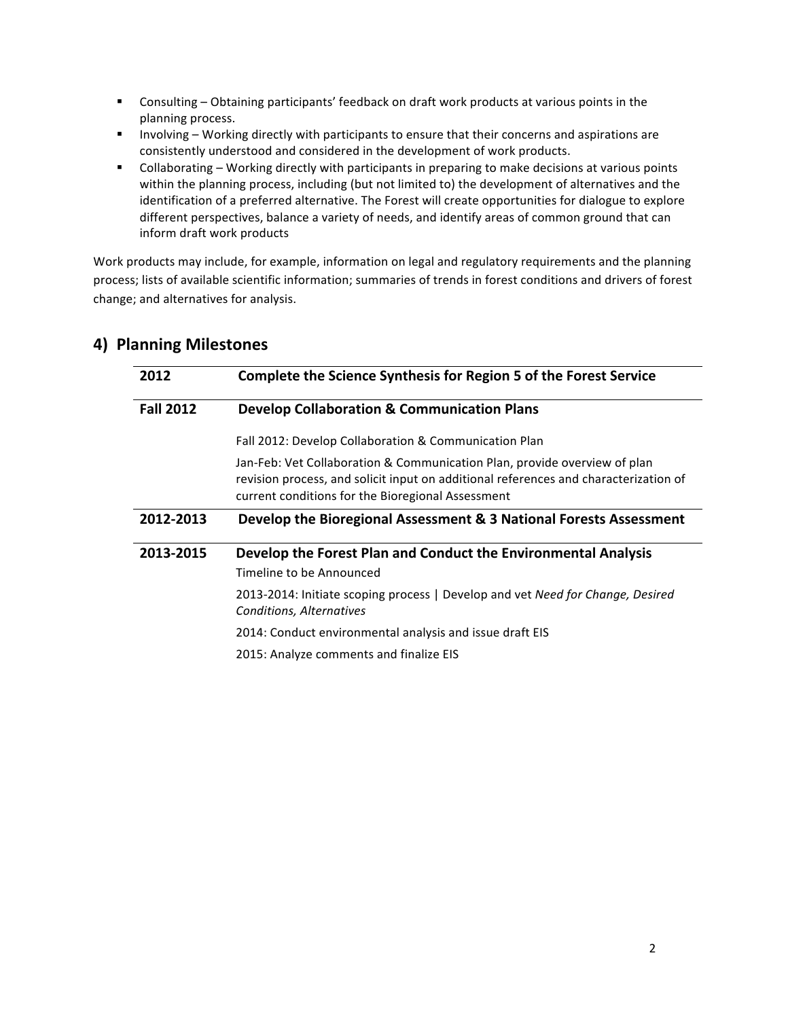- Consulting Obtaining participants' feedback on draft work products at various points in the planning process.
- **■** Involving Working directly with participants to ensure that their concerns and aspirations are consistently understood and considered in the development of work products.
- Collaborating Working directly with participants in preparing to make decisions at various points within the planning process, including (but not limited to) the development of alternatives and the identification of a preferred alternative. The Forest will create opportunities for dialogue to explore different perspectives, balance a variety of needs, and identify areas of common ground that can inform draft work products

Work products may include, for example, information on legal and regulatory requirements and the planning process; lists of available scientific information; summaries of trends in forest conditions and drivers of forest change; and alternatives for analysis.

| 2012             | Complete the Science Synthesis for Region 5 of the Forest Service                                                                                                                                                      |  |  |
|------------------|------------------------------------------------------------------------------------------------------------------------------------------------------------------------------------------------------------------------|--|--|
| <b>Fall 2012</b> | <b>Develop Collaboration &amp; Communication Plans</b>                                                                                                                                                                 |  |  |
|                  | Fall 2012: Develop Collaboration & Communication Plan                                                                                                                                                                  |  |  |
|                  | Jan-Feb: Vet Collaboration & Communication Plan, provide overview of plan<br>revision process, and solicit input on additional references and characterization of<br>current conditions for the Bioregional Assessment |  |  |
| 2012-2013        | Develop the Bioregional Assessment & 3 National Forests Assessment                                                                                                                                                     |  |  |
| 2013-2015        | Develop the Forest Plan and Conduct the Environmental Analysis<br>Timeline to be Announced                                                                                                                             |  |  |
|                  | 2013-2014: Initiate scoping process   Develop and vet Need for Change, Desired<br>Conditions, Alternatives                                                                                                             |  |  |
|                  | 2014: Conduct environmental analysis and issue draft EIS                                                                                                                                                               |  |  |
|                  | 2015: Analyze comments and finalize EIS                                                                                                                                                                                |  |  |

## **4) Planning Milestones**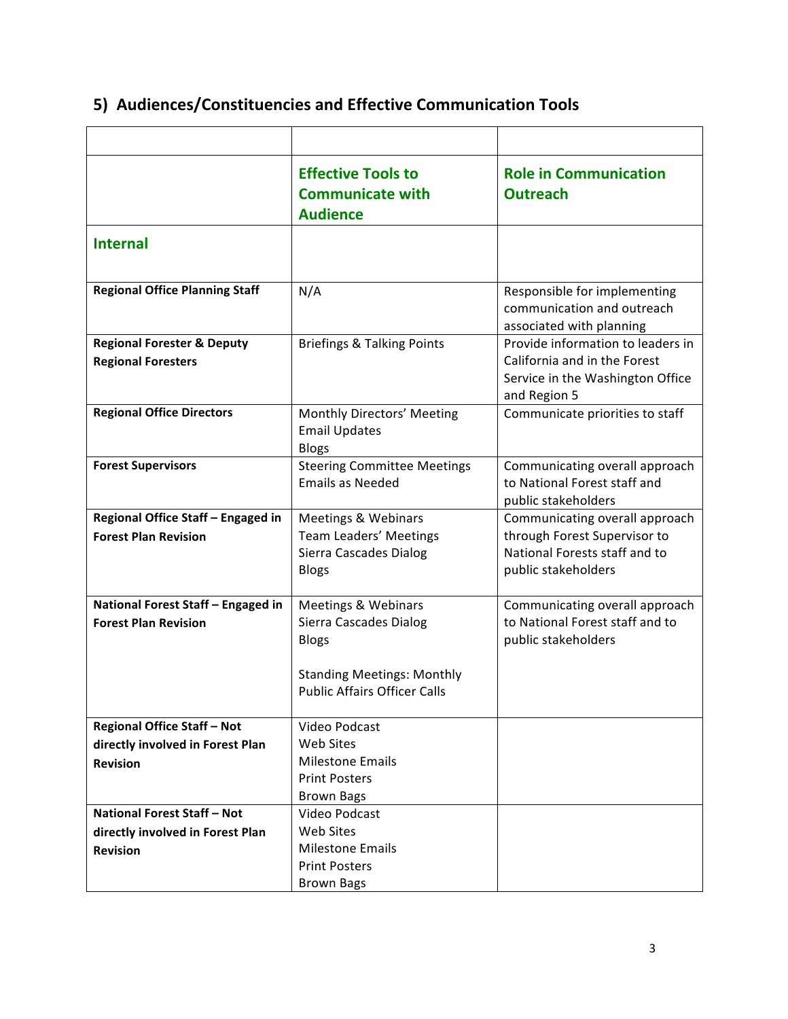|                                                                                           | <b>Effective Tools to</b><br><b>Communicate with</b><br><b>Audience</b>                                                                              | <b>Role in Communication</b><br><b>Outreach</b>                                                                        |
|-------------------------------------------------------------------------------------------|------------------------------------------------------------------------------------------------------------------------------------------------------|------------------------------------------------------------------------------------------------------------------------|
| <b>Internal</b>                                                                           |                                                                                                                                                      |                                                                                                                        |
| <b>Regional Office Planning Staff</b>                                                     | N/A                                                                                                                                                  | Responsible for implementing<br>communication and outreach<br>associated with planning                                 |
| <b>Regional Forester &amp; Deputy</b><br><b>Regional Foresters</b>                        | <b>Briefings &amp; Talking Points</b>                                                                                                                | Provide information to leaders in<br>California and in the Forest<br>Service in the Washington Office<br>and Region 5  |
| <b>Regional Office Directors</b>                                                          | Monthly Directors' Meeting<br><b>Email Updates</b><br><b>Blogs</b>                                                                                   | Communicate priorities to staff                                                                                        |
| <b>Forest Supervisors</b>                                                                 | <b>Steering Committee Meetings</b><br><b>Emails as Needed</b>                                                                                        | Communicating overall approach<br>to National Forest staff and<br>public stakeholders                                  |
| Regional Office Staff - Engaged in<br><b>Forest Plan Revision</b>                         | <b>Meetings &amp; Webinars</b><br>Team Leaders' Meetings<br>Sierra Cascades Dialog<br><b>Blogs</b>                                                   | Communicating overall approach<br>through Forest Supervisor to<br>National Forests staff and to<br>public stakeholders |
| National Forest Staff - Engaged in<br><b>Forest Plan Revision</b>                         | <b>Meetings &amp; Webinars</b><br>Sierra Cascades Dialog<br><b>Blogs</b><br><b>Standing Meetings: Monthly</b><br><b>Public Affairs Officer Calls</b> | Communicating overall approach<br>to National Forest staff and to<br>public stakeholders                               |
| <b>Regional Office Staff - Not</b><br>directly involved in Forest Plan<br><b>Revision</b> | Video Podcast<br><b>Web Sites</b><br><b>Milestone Emails</b><br><b>Print Posters</b><br><b>Brown Bags</b>                                            |                                                                                                                        |
| <b>National Forest Staff - Not</b><br>directly involved in Forest Plan<br><b>Revision</b> | Video Podcast<br><b>Web Sites</b><br><b>Milestone Emails</b><br><b>Print Posters</b><br><b>Brown Bags</b>                                            |                                                                                                                        |

# **5) Audiences/Constituencies and Effective Communication Tools**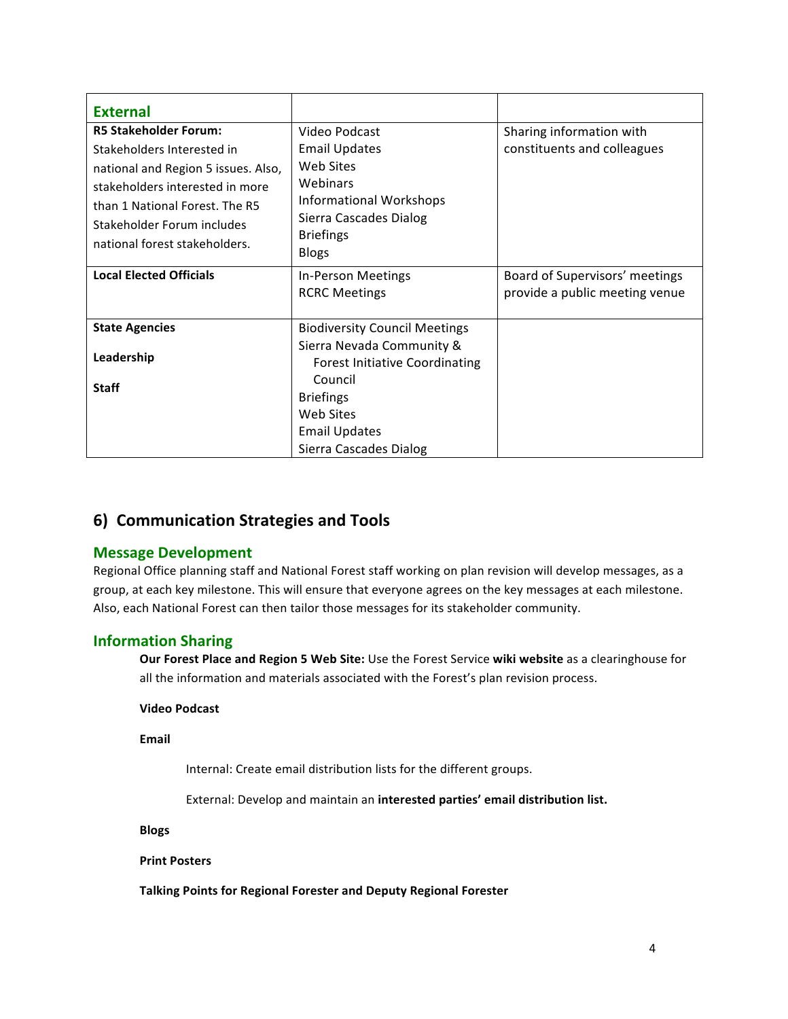| <b>External</b>                                                                                                                                                      |                                                                                                                        |                                                                  |
|----------------------------------------------------------------------------------------------------------------------------------------------------------------------|------------------------------------------------------------------------------------------------------------------------|------------------------------------------------------------------|
| <b>R5 Stakeholder Forum:</b>                                                                                                                                         | Video Podcast                                                                                                          | Sharing information with                                         |
| Stakeholders Interested in<br>national and Region 5 issues. Also,<br>stakeholders interested in more<br>than 1 National Forest. The R5<br>Stakeholder Forum includes | <b>Email Updates</b><br>Web Sites<br>Webinars<br>Informational Workshops<br>Sierra Cascades Dialog<br><b>Briefings</b> | constituents and colleagues                                      |
| national forest stakeholders.                                                                                                                                        | <b>Blogs</b>                                                                                                           |                                                                  |
| <b>Local Elected Officials</b>                                                                                                                                       | In-Person Meetings<br><b>RCRC Meetings</b>                                                                             | Board of Supervisors' meetings<br>provide a public meeting venue |
| <b>State Agencies</b>                                                                                                                                                | <b>Biodiversity Council Meetings</b>                                                                                   |                                                                  |
| Leadership                                                                                                                                                           | Sierra Nevada Community &<br><b>Forest Initiative Coordinating</b><br>Council                                          |                                                                  |
| <b>Staff</b>                                                                                                                                                         | <b>Briefings</b><br>Web Sites                                                                                          |                                                                  |
|                                                                                                                                                                      | <b>Email Updates</b>                                                                                                   |                                                                  |
|                                                                                                                                                                      | Sierra Cascades Dialog                                                                                                 |                                                                  |

## **6) Communication Strategies and Tools**

## **Message Development**

Regional Office planning staff and National Forest staff working on plan revision will develop messages, as a group, at each key milestone. This will ensure that everyone agrees on the key messages at each milestone. Also, each National Forest can then tailor those messages for its stakeholder community.

## **Information Sharing**

**Our Forest Place and Region 5 Web Site:** Use the Forest Service wiki website as a clearinghouse for all the information and materials associated with the Forest's plan revision process.

#### **Video Podcast**

#### **Email**

Internal: Create email distribution lists for the different groups.

External: Develop and maintain an interested parties' email distribution list.

#### **Blogs**

#### **Print Posters**

Talking Points for Regional Forester and Deputy Regional Forester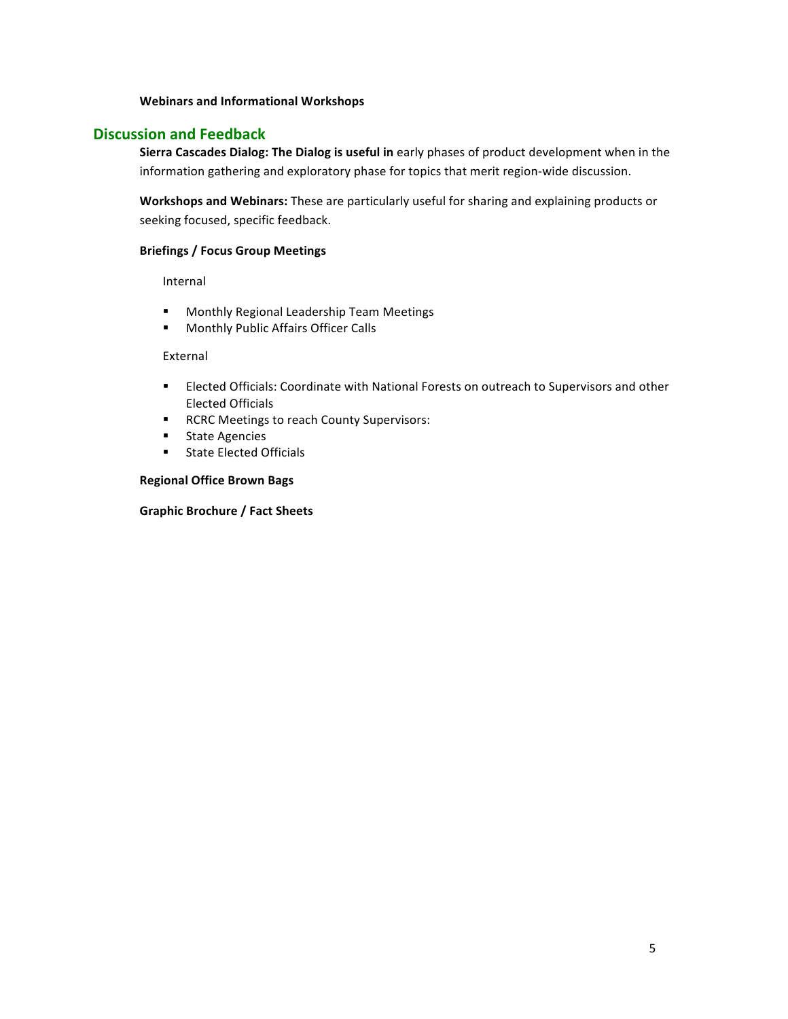#### **Webinars and Informational Workshops**

## **Discussion and Feedback**

**Sierra Cascades Dialog: The Dialog is useful in** early phases of product development when in the information gathering and exploratory phase for topics that merit region-wide discussion.

Workshops and Webinars: These are particularly useful for sharing and explaining products or seeking focused, specific feedback.

### **Briefings / Focus Group Meetings**

Internal

- Monthly Regional Leadership Team Meetings
- Monthly Public Affairs Officer Calls

#### External

- **■** Elected Officials: Coordinate with National Forests on outreach to Supervisors and other Elected Officials
- RCRC Meetings to reach County Supervisors:
- State Agencies
- State Elected Officials

## **Regional Office Brown Bags**

### **Graphic Brochure / Fact Sheets**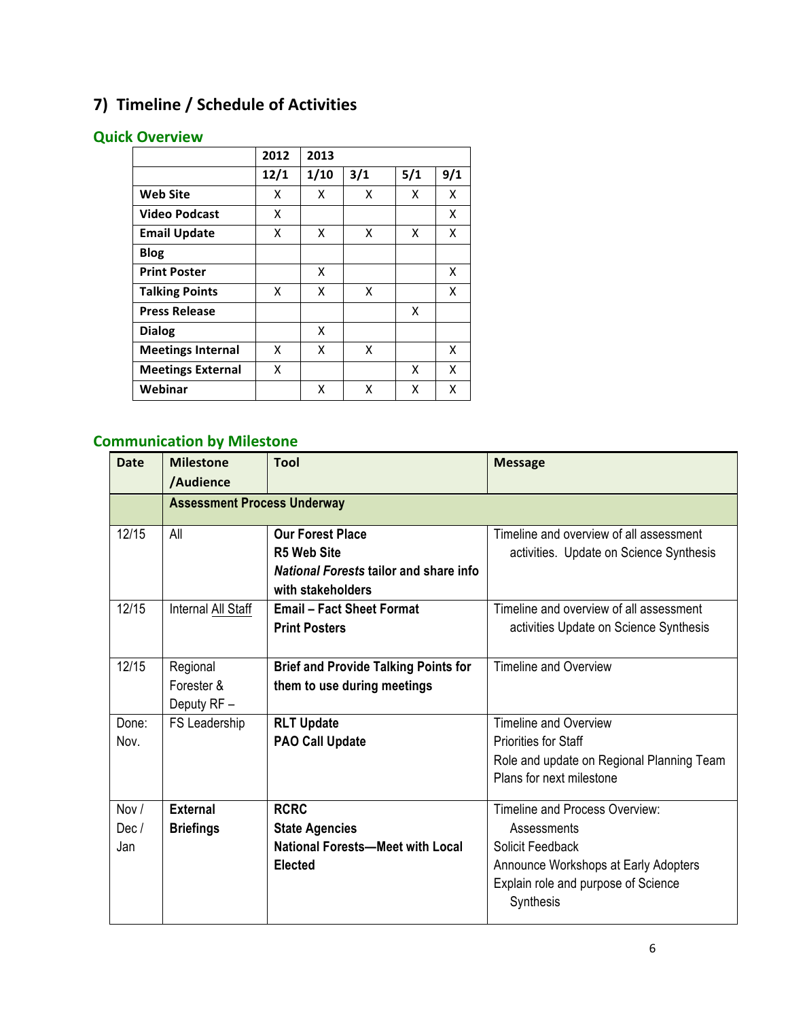# **7) Timeline / Schedule of Activities**

# **Quick Overview**

|                          | 2012 | 2013 |     |     |     |
|--------------------------|------|------|-----|-----|-----|
|                          | 12/1 | 1/10 | 3/1 | 5/1 | 9/1 |
| <b>Web Site</b>          | x    | x    | x   | x   | x   |
| <b>Video Podcast</b>     | x    |      |     |     | X   |
| <b>Email Update</b>      | x    | X    | x   | x   | x   |
| <b>Blog</b>              |      |      |     |     |     |
| <b>Print Poster</b>      |      | X    |     |     | x   |
| <b>Talking Points</b>    | x    | x    | x   |     | x   |
| <b>Press Release</b>     |      |      |     | X   |     |
| <b>Dialog</b>            |      | X    |     |     |     |
| <b>Meetings Internal</b> | x    | X    | X   |     | x   |
| <b>Meetings External</b> | x    |      |     | X   | x   |
| Webinar                  |      | x    | x   | x   | x   |

# **Communication by Milestone**

| <b>Date</b> | <b>Milestone</b>                   | Tool                                          | <b>Message</b>                            |  |  |
|-------------|------------------------------------|-----------------------------------------------|-------------------------------------------|--|--|
|             | /Audience                          |                                               |                                           |  |  |
|             | <b>Assessment Process Underway</b> |                                               |                                           |  |  |
| 12/15       | All                                | <b>Our Forest Place</b>                       | Timeline and overview of all assessment   |  |  |
|             |                                    | <b>R5 Web Site</b>                            | activities. Update on Science Synthesis   |  |  |
|             |                                    | <b>National Forests tailor and share info</b> |                                           |  |  |
|             |                                    | with stakeholders                             |                                           |  |  |
| 12/15       | Internal All Staff                 | <b>Email - Fact Sheet Format</b>              | Timeline and overview of all assessment   |  |  |
|             |                                    | <b>Print Posters</b>                          | activities Update on Science Synthesis    |  |  |
|             |                                    |                                               |                                           |  |  |
| 12/15       | Regional                           | <b>Brief and Provide Talking Points for</b>   | Timeline and Overview                     |  |  |
|             | Forester &                         | them to use during meetings                   |                                           |  |  |
|             | Deputy RF -                        |                                               |                                           |  |  |
| Done:       | FS Leadership                      | <b>RLT Update</b>                             | Timeline and Overview                     |  |  |
| Nov.        |                                    | <b>PAO Call Update</b>                        | <b>Priorities for Staff</b>               |  |  |
|             |                                    |                                               | Role and update on Regional Planning Team |  |  |
|             |                                    |                                               | Plans for next milestone                  |  |  |
| Nov /       | <b>External</b>                    | <b>RCRC</b>                                   | Timeline and Process Overview:            |  |  |
| Dec/        | <b>Briefings</b>                   | <b>State Agencies</b>                         | Assessments                               |  |  |
| Jan         |                                    | <b>National Forests-Meet with Local</b>       | Solicit Feedback                          |  |  |
|             |                                    | <b>Elected</b>                                | Announce Workshops at Early Adopters      |  |  |
|             |                                    |                                               |                                           |  |  |
|             |                                    |                                               | Explain role and purpose of Science       |  |  |
|             |                                    |                                               | Synthesis                                 |  |  |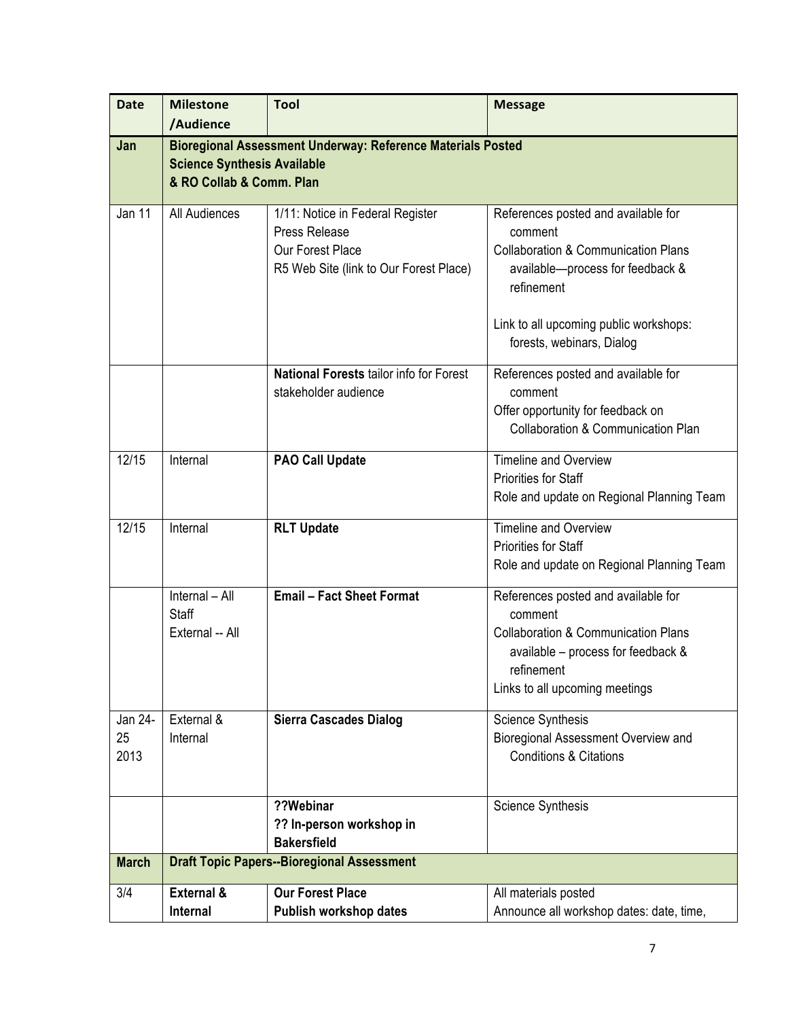| <b>Date</b>           | <b>Milestone</b>                                                                                                                     | <b>Tool</b>                                                                                                     | <b>Message</b>                                                                                                                                                                                                            |  |  |
|-----------------------|--------------------------------------------------------------------------------------------------------------------------------------|-----------------------------------------------------------------------------------------------------------------|---------------------------------------------------------------------------------------------------------------------------------------------------------------------------------------------------------------------------|--|--|
|                       | /Audience                                                                                                                            |                                                                                                                 |                                                                                                                                                                                                                           |  |  |
| Jan                   | <b>Bioregional Assessment Underway: Reference Materials Posted</b><br><b>Science Synthesis Available</b><br>& RO Collab & Comm. Plan |                                                                                                                 |                                                                                                                                                                                                                           |  |  |
| Jan 11                | All Audiences                                                                                                                        | 1/11: Notice in Federal Register<br>Press Release<br>Our Forest Place<br>R5 Web Site (link to Our Forest Place) | References posted and available for<br>comment<br><b>Collaboration &amp; Communication Plans</b><br>available-process for feedback &<br>refinement<br>Link to all upcoming public workshops:<br>forests, webinars, Dialog |  |  |
|                       |                                                                                                                                      | <b>National Forests tailor info for Forest</b><br>stakeholder audience                                          | References posted and available for<br>comment<br>Offer opportunity for feedback on<br><b>Collaboration &amp; Communication Plan</b>                                                                                      |  |  |
| 12/15                 | Internal                                                                                                                             | <b>PAO Call Update</b>                                                                                          | Timeline and Overview<br><b>Priorities for Staff</b><br>Role and update on Regional Planning Team                                                                                                                         |  |  |
| 12/15                 | Internal                                                                                                                             | <b>RLT Update</b>                                                                                               | <b>Timeline and Overview</b><br>Priorities for Staff<br>Role and update on Regional Planning Team                                                                                                                         |  |  |
|                       | Internal - All<br><b>Staff</b><br>External -- All                                                                                    | <b>Email - Fact Sheet Format</b>                                                                                | References posted and available for<br>comment<br><b>Collaboration &amp; Communication Plans</b><br>available – process for feedback &<br>refinement<br>Links to all upcoming meetings                                    |  |  |
| Jan 24-<br>25<br>2013 | External &<br>Internal                                                                                                               | <b>Sierra Cascades Dialog</b>                                                                                   | <b>Science Synthesis</b><br>Bioregional Assessment Overview and<br><b>Conditions &amp; Citations</b>                                                                                                                      |  |  |
|                       |                                                                                                                                      | ??Webinar<br>?? In-person workshop in<br><b>Bakersfield</b>                                                     | <b>Science Synthesis</b>                                                                                                                                                                                                  |  |  |
| <b>March</b>          |                                                                                                                                      | <b>Draft Topic Papers--Bioregional Assessment</b>                                                               |                                                                                                                                                                                                                           |  |  |
| 3/4                   | External &                                                                                                                           | <b>Our Forest Place</b>                                                                                         | All materials posted                                                                                                                                                                                                      |  |  |
|                       | Internal                                                                                                                             | Publish workshop dates                                                                                          | Announce all workshop dates: date, time,                                                                                                                                                                                  |  |  |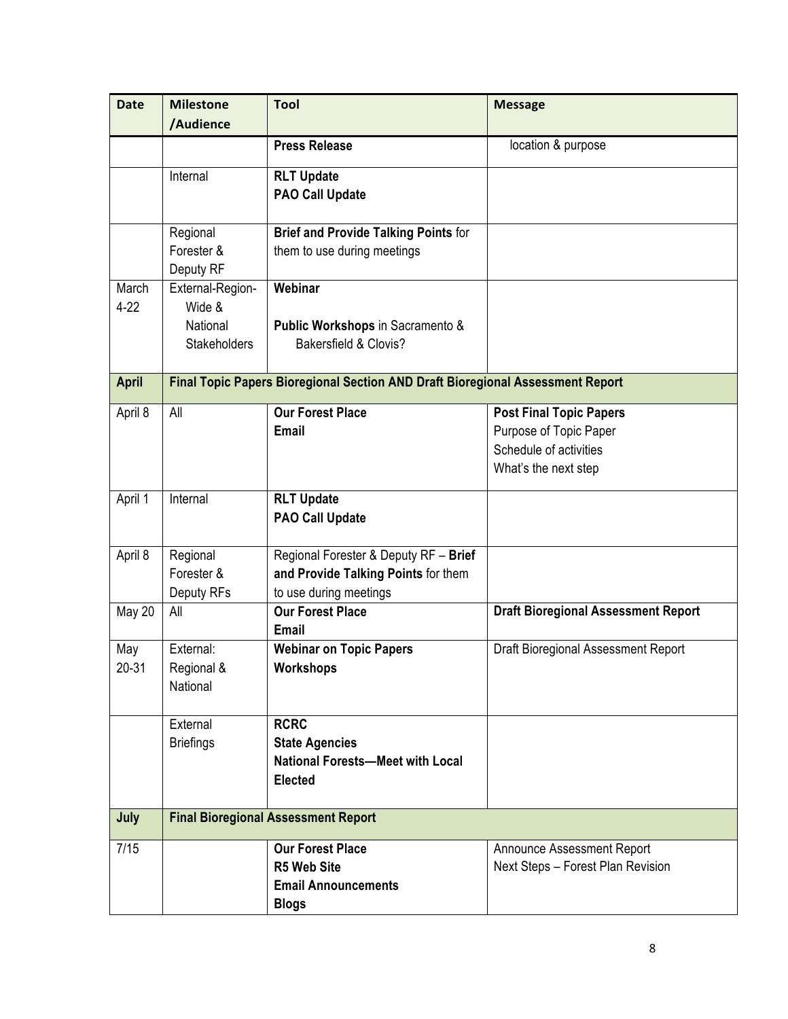| <b>Date</b>       | <b>Milestone</b><br>/Audience                                 | <b>Tool</b>                                                                                            | <b>Message</b>                                                                                             |  |
|-------------------|---------------------------------------------------------------|--------------------------------------------------------------------------------------------------------|------------------------------------------------------------------------------------------------------------|--|
|                   |                                                               | <b>Press Release</b>                                                                                   | location & purpose                                                                                         |  |
|                   | Internal                                                      | <b>RLT Update</b><br><b>PAO Call Update</b>                                                            |                                                                                                            |  |
|                   | Regional<br>Forester &<br>Deputy RF                           | <b>Brief and Provide Talking Points for</b><br>them to use during meetings                             |                                                                                                            |  |
| March<br>$4 - 22$ | External-Region-<br>Wide &<br>National<br><b>Stakeholders</b> | Webinar<br>Public Workshops in Sacramento &<br>Bakersfield & Clovis?                                   |                                                                                                            |  |
| <b>April</b>      |                                                               | Final Topic Papers Bioregional Section AND Draft Bioregional Assessment Report                         |                                                                                                            |  |
| April 8           | All                                                           | <b>Our Forest Place</b><br><b>Email</b>                                                                | <b>Post Final Topic Papers</b><br>Purpose of Topic Paper<br>Schedule of activities<br>What's the next step |  |
| April 1           | Internal                                                      | <b>RLT Update</b><br><b>PAO Call Update</b>                                                            |                                                                                                            |  |
| April 8           | Regional<br>Forester &<br>Deputy RFs                          | Regional Forester & Deputy RF - Brief<br>and Provide Talking Points for them<br>to use during meetings |                                                                                                            |  |
| <b>May 20</b>     | All                                                           | <b>Our Forest Place</b><br><b>Email</b>                                                                | <b>Draft Bioregional Assessment Report</b>                                                                 |  |
| May<br>20-31      | External:<br>Regional &<br>National                           | <b>Webinar on Topic Papers</b><br>Workshops                                                            | Draft Bioregional Assessment Report                                                                        |  |
|                   | External<br><b>Briefings</b>                                  | <b>RCRC</b><br><b>State Agencies</b><br><b>National Forests-Meet with Local</b><br><b>Elected</b>      |                                                                                                            |  |
| July              | <b>Final Bioregional Assessment Report</b>                    |                                                                                                        |                                                                                                            |  |
| 7/15              |                                                               | <b>Our Forest Place</b><br><b>R5 Web Site</b><br><b>Email Announcements</b><br><b>Blogs</b>            | Announce Assessment Report<br>Next Steps - Forest Plan Revision                                            |  |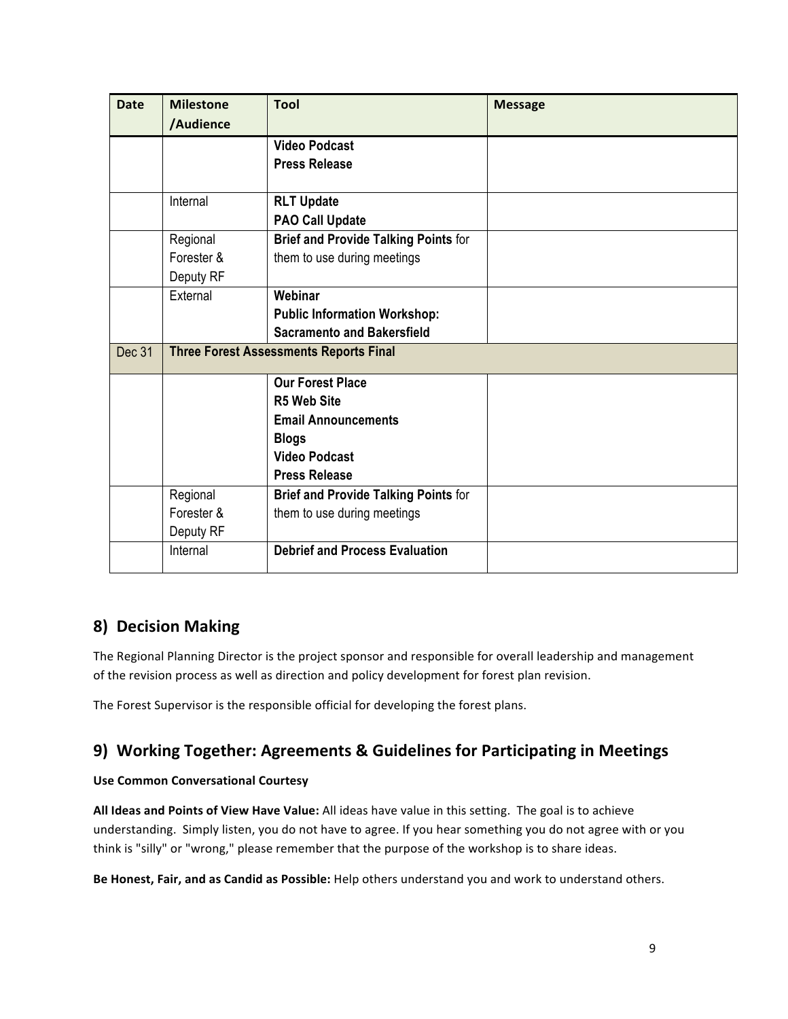| <b>Date</b> | <b>Milestone</b> | <b>Tool</b>                                   | <b>Message</b> |
|-------------|------------------|-----------------------------------------------|----------------|
|             | /Audience        |                                               |                |
|             |                  | <b>Video Podcast</b>                          |                |
|             |                  | <b>Press Release</b>                          |                |
|             |                  |                                               |                |
|             | Internal         | <b>RLT Update</b>                             |                |
|             |                  | <b>PAO Call Update</b>                        |                |
|             | Regional         | <b>Brief and Provide Talking Points for</b>   |                |
|             | Forester &       | them to use during meetings                   |                |
|             | Deputy RF        |                                               |                |
|             | External         | Webinar                                       |                |
|             |                  | <b>Public Information Workshop:</b>           |                |
|             |                  | <b>Sacramento and Bakersfield</b>             |                |
| Dec 31      |                  | <b>Three Forest Assessments Reports Final</b> |                |
|             |                  | <b>Our Forest Place</b>                       |                |
|             |                  | <b>R5 Web Site</b>                            |                |
|             |                  | <b>Email Announcements</b>                    |                |
|             |                  | <b>Blogs</b>                                  |                |
|             |                  | <b>Video Podcast</b>                          |                |
|             |                  | <b>Press Release</b>                          |                |
|             | Regional         | <b>Brief and Provide Talking Points for</b>   |                |
|             | Forester &       | them to use during meetings                   |                |
|             | Deputy RF        |                                               |                |
|             | Internal         | <b>Debrief and Process Evaluation</b>         |                |
|             |                  |                                               |                |

# **8) Decision Making**

The Regional Planning Director is the project sponsor and responsible for overall leadership and management of the revision process as well as direction and policy development for forest plan revision.

The Forest Supervisor is the responsible official for developing the forest plans.

# **9)** Working Together: Agreements & Guidelines for Participating in Meetings

## **Use Common Conversational Courtesy**

All Ideas and Points of View Have Value: All ideas have value in this setting. The goal is to achieve understanding. Simply listen, you do not have to agree. If you hear something you do not agree with or you think is "silly" or "wrong," please remember that the purpose of the workshop is to share ideas.

Be Honest, Fair, and as Candid as Possible: Help others understand you and work to understand others.